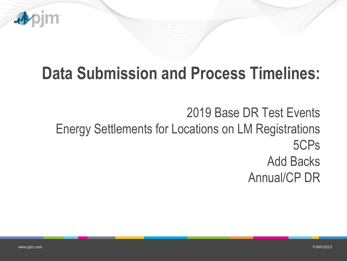

# **Data Submission and Process Timelines:**

2019 Base DR Test Events Energy Settlements for Locations on LM Registrations 5CPs Add Backs Annual/CP DR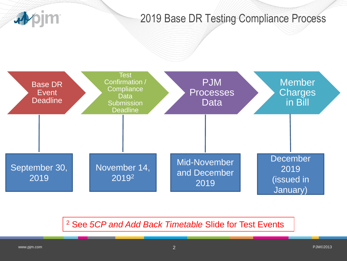

### 2019 Base DR Testing Compliance Process



<sup>2</sup> See *5CP and Add Back Timetable* Slide for Test Events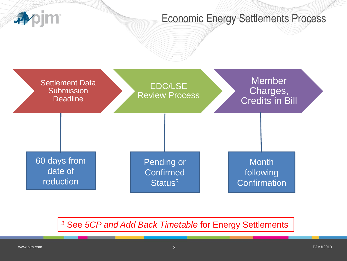

#### Economic Energy Settlements Process



<sup>3</sup> See *5CP and Add Back Timetable* for Energy Settlements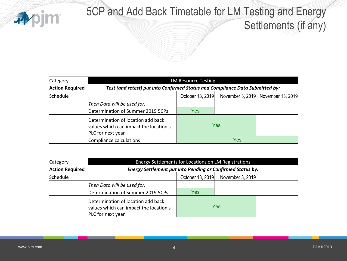

# 5CP and Add Back Timetable for LM Testing and Energy

Settlements (if any)

| Category               | <b>LM Resource Testing</b>                                                                        |                                                                               |  |                                    |  |  |
|------------------------|---------------------------------------------------------------------------------------------------|-------------------------------------------------------------------------------|--|------------------------------------|--|--|
| <b>Action Required</b> |                                                                                                   | Test (and retest) put into Confirmed Status and Compliance Data Submitted by: |  |                                    |  |  |
| Schedule               |                                                                                                   | October 13, 2019                                                              |  | November 3, 2019 November 13, 2019 |  |  |
|                        | Then Data will be used for:                                                                       |                                                                               |  |                                    |  |  |
|                        | Determination of Summer 2019 5CPs                                                                 | Yes:                                                                          |  |                                    |  |  |
|                        | Determination of location add back<br>values which can impact the location's<br>PLC for next year | Yes                                                                           |  |                                    |  |  |
|                        | Compliance calculations                                                                           |                                                                               |  |                                    |  |  |

| Category               | Energy Settlements for Locations on LM Registrations                                              |                  |                  |  |  |  |
|------------------------|---------------------------------------------------------------------------------------------------|------------------|------------------|--|--|--|
| <b>Action Required</b> | <b>Energy Settlement put into Pending or Confirmed Status by:</b>                                 |                  |                  |  |  |  |
| Schedule               |                                                                                                   | October 13, 2019 | November 3, 2019 |  |  |  |
|                        | Then Data will be used for:                                                                       |                  |                  |  |  |  |
|                        | Determination of Summer 2019 5CPs                                                                 | Yes              |                  |  |  |  |
|                        | Determination of location add back<br>values which can impact the location's<br>PLC for next year | Yes              |                  |  |  |  |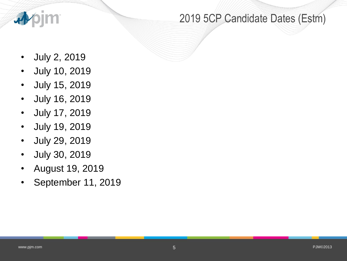

## 2019 5CP Candidate Dates (Estm)

- July 2, 2019
- July 10, 2019
- July 15, 2019
- July 16, 2019
- July 17, 2019
- July 19, 2019
- July 29, 2019
- July 30, 2019
- August 19, 2019
- September 11, 2019